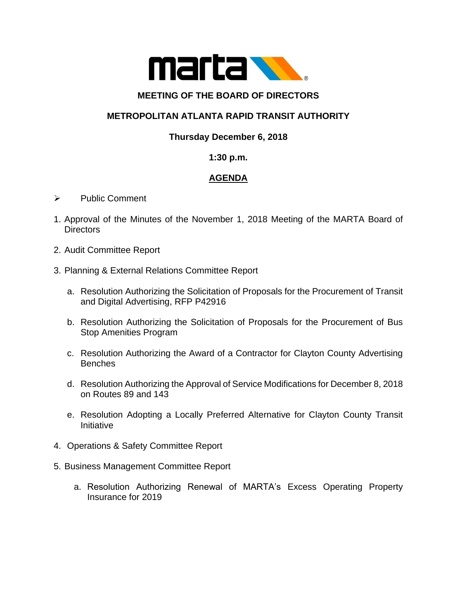

#### **MEETING OF THE BOARD OF DIRECTORS**

# **METROPOLITAN ATLANTA RAPID TRANSIT AUTHORITY**

## **Thursday December 6, 2018**

#### **1:30 p.m.**

## **AGENDA**

- ➢ Public Comment
- 1. Approval of the Minutes of the November 1, 2018 Meeting of the MARTA Board of **Directors**
- 2. Audit Committee Report
- 3. Planning & External Relations Committee Report
	- a. Resolution Authorizing the Solicitation of Proposals for the Procurement of Transit and Digital Advertising, RFP P42916
	- b. Resolution Authorizing the Solicitation of Proposals for the Procurement of Bus Stop Amenities Program
	- c. Resolution Authorizing the Award of a Contractor for Clayton County Advertising **Benches**
	- d. Resolution Authorizing the Approval of Service Modifications for December 8, 2018 on Routes 89 and 143
	- e. Resolution Adopting a Locally Preferred Alternative for Clayton County Transit **Initiative**
- 4. Operations & Safety Committee Report
- 5. Business Management Committee Report
	- a. Resolution Authorizing Renewal of MARTA's Excess Operating Property Insurance for 2019